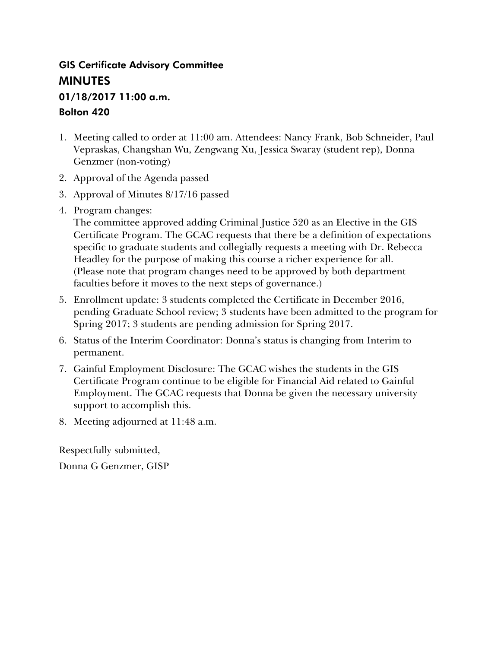## GIS Certificate Advisory Committee **MINUTES**

# 01/18/2017 11:00 a.m.

## Bolton 420

- 1. Meeting called to order at 11:00 am. Attendees: Nancy Frank, Bob Schneider, Paul Vepraskas, Changshan Wu, Zengwang Xu, Jessica Swaray (student rep), Donna Genzmer (non-voting)
- 2. Approval of the Agenda passed
- 3. Approval of Minutes 8/17/16 passed
- 4. Program changes:

The committee approved adding Criminal Justice 520 as an Elective in the GIS Certificate Program. The GCAC requests that there be a definition of expectations specific to graduate students and collegially requests a meeting with Dr. Rebecca Headley for the purpose of making this course a richer experience for all. (Please note that program changes need to be approved by both department faculties before it moves to the next steps of governance.)

- 5. Enrollment update: 3 students completed the Certificate in December 2016, pending Graduate School review; 3 students have been admitted to the program for Spring 2017; 3 students are pending admission for Spring 2017.
- 6. Status of the Interim Coordinator: Donna's status is changing from Interim to permanent.
- 7. Gainful Employment Disclosure: The GCAC wishes the students in the GIS Certificate Program continue to be eligible for Financial Aid related to Gainful Employment. The GCAC requests that Donna be given the necessary university support to accomplish this.
- 8. Meeting adjourned at 11:48 a.m.

Respectfully submitted, Donna G Genzmer, GISP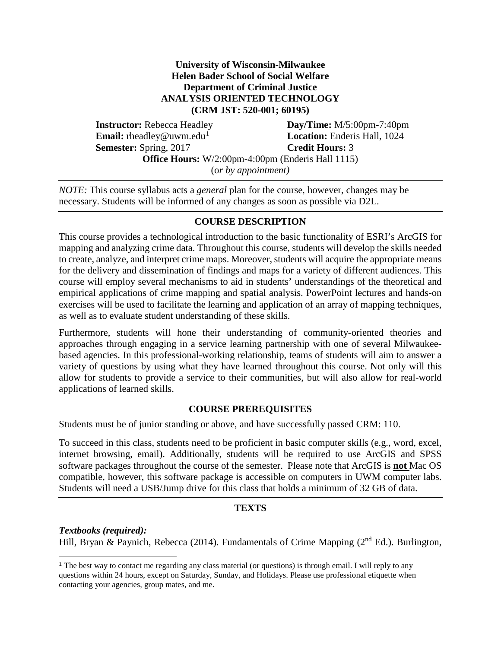#### **University of Wisconsin-Milwaukee Helen Bader School of Social Welfare Department of Criminal Justice ANALYSIS ORIENTED TECHNOLOGY (CRM JST: 520-001; 60195)**

 **Instructor:** Rebecca Headley **Day/Time:** M/5:00pm-7:40pm **Email:** rheadley@uwm.edu<sup>[1](#page-1-0)</sup> **Location:** Enderis Hall, 1024 **Semester:** Spring, 2017 **Credit Hours:** 3 **Office Hours:** W/2:00pm-4:00pm (Enderis Hall 1115) (o*r by appointment)*

*NOTE:* This course syllabus acts a *general* plan for the course, however, changes may be necessary. Students will be informed of any changes as soon as possible via D2L.

#### **COURSE DESCRIPTION**

This course provides a technological introduction to the basic functionality of ESRI's ArcGIS for mapping and analyzing crime data. Throughout this course, students will develop the skills needed to create, analyze, and interpret crime maps. Moreover, students will acquire the appropriate means for the delivery and dissemination of findings and maps for a variety of different audiences. This course will employ several mechanisms to aid in students' understandings of the theoretical and empirical applications of crime mapping and spatial analysis. PowerPoint lectures and hands-on exercises will be used to facilitate the learning and application of an array of mapping techniques, as well as to evaluate student understanding of these skills.

Furthermore, students will hone their understanding of community-oriented theories and approaches through engaging in a service learning partnership with one of several Milwaukeebased agencies. In this professional-working relationship, teams of students will aim to answer a variety of questions by using what they have learned throughout this course. Not only will this allow for students to provide a service to their communities, but will also allow for real-world applications of learned skills.

## **COURSE PREREQUISITES**

Students must be of junior standing or above, and have successfully passed CRM: 110.

To succeed in this class, students need to be proficient in basic computer skills (e.g., word, excel, internet browsing, email). Additionally, students will be required to use ArcGIS and SPSS software packages throughout the course of the semester. Please note that ArcGIS is **not** Mac OS compatible, however, this software package is accessible on computers in UWM computer labs. Students will need a USB/Jump drive for this class that holds a minimum of 32 GB of data.

## **TEXTS**

*Textbooks (required):* Hill, Bryan & Paynich, Rebecca (2014). Fundamentals of Crime Mapping ( $2<sup>nd</sup> Ed$ .). Burlington,

<span id="page-1-0"></span> <sup>1</sup> The best way to contact me regarding any class material (or questions) is through email. I will reply to any questions within 24 hours, except on Saturday, Sunday, and Holidays. Please use professional etiquette when contacting your agencies, group mates, and me.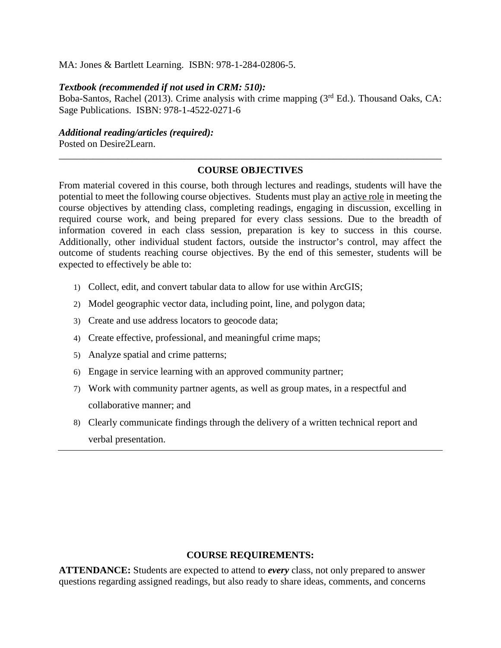#### MA: Jones & Bartlett Learning. ISBN: 978-1-284-02806-5.

#### *Textbook (recommended if not used in CRM: 510):*

Boba-Santos, Rachel (2013). Crime analysis with crime mapping (3<sup>rd</sup> Ed.). Thousand Oaks, CA: Sage Publications. ISBN: 978-1-4522-0271-6

*Additional reading/articles (required):*

Posted on Desire2Learn.

## \_\_\_\_\_\_\_\_\_\_\_\_\_\_\_\_\_\_\_\_\_\_\_\_\_\_\_\_\_\_\_\_\_\_\_\_\_\_\_\_\_\_\_\_\_\_\_\_\_\_\_\_\_\_\_\_\_\_\_\_\_\_\_\_\_\_\_\_\_\_\_\_\_\_\_\_\_\_ **COURSE OBJECTIVES**

From material covered in this course, both through lectures and readings, students will have the potential to meet the following course objectives. Students must play an active role in meeting the course objectives by attending class, completing readings, engaging in discussion, excelling in required course work, and being prepared for every class sessions. Due to the breadth of information covered in each class session, preparation is key to success in this course. Additionally, other individual student factors, outside the instructor's control, may affect the outcome of students reaching course objectives. By the end of this semester, students will be expected to effectively be able to:

- 1) Collect, edit, and convert tabular data to allow for use within ArcGIS;
- 2) Model geographic vector data, including point, line, and polygon data;
- 3) Create and use address locators to geocode data;
- 4) Create effective, professional, and meaningful crime maps;
- 5) Analyze spatial and crime patterns;
- 6) Engage in service learning with an approved community partner;
- 7) Work with community partner agents, as well as group mates, in a respectful and collaborative manner; and
- 8) Clearly communicate findings through the delivery of a written technical report and verbal presentation.

#### **COURSE REQUIREMENTS:**

**ATTENDANCE:** Students are expected to attend to *every* class, not only prepared to answer questions regarding assigned readings, but also ready to share ideas, comments, and concerns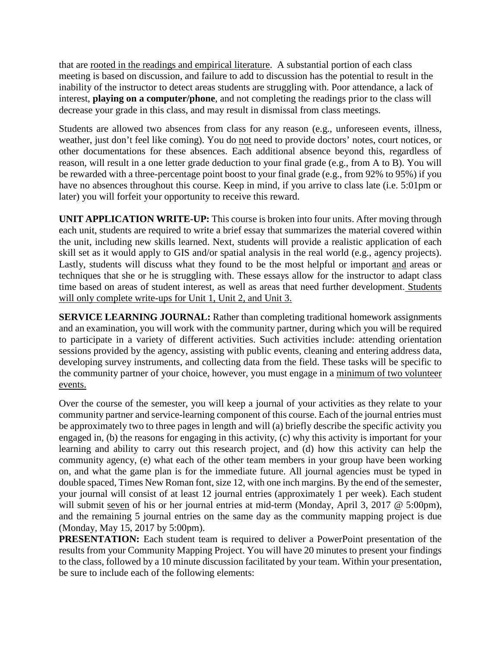that are rooted in the readings and empirical literature. A substantial portion of each class meeting is based on discussion, and failure to add to discussion has the potential to result in the inability of the instructor to detect areas students are struggling with. Poor attendance, a lack of interest, **playing on a computer/phone**, and not completing the readings prior to the class will decrease your grade in this class, and may result in dismissal from class meetings.

Students are allowed two absences from class for any reason (e.g., unforeseen events, illness, weather, just don't feel like coming). You do not need to provide doctors' notes, court notices, or other documentations for these absences. Each additional absence beyond this, regardless of reason, will result in a one letter grade deduction to your final grade (e.g., from A to B). You will be rewarded with a three-percentage point boost to your final grade (e.g., from 92% to 95%) if you have no absences throughout this course. Keep in mind, if you arrive to class late (i.e. 5:01pm or later) you will forfeit your opportunity to receive this reward.

**UNIT APPLICATION WRITE-UP:** This course is broken into four units. After moving through each unit, students are required to write a brief essay that summarizes the material covered within the unit, including new skills learned. Next, students will provide a realistic application of each skill set as it would apply to GIS and/or spatial analysis in the real world (e.g., agency projects). Lastly, students will discuss what they found to be the most helpful or important and areas or techniques that she or he is struggling with. These essays allow for the instructor to adapt class time based on areas of student interest, as well as areas that need further development. Students will only complete write-ups for Unit 1, Unit 2, and Unit 3.

**SERVICE LEARNING JOURNAL:** Rather than completing traditional homework assignments and an examination, you will work with the community partner, during which you will be required to participate in a variety of different activities. Such activities include: attending orientation sessions provided by the agency, assisting with public events, cleaning and entering address data, developing survey instruments, and collecting data from the field. These tasks will be specific to the community partner of your choice, however, you must engage in a minimum of two volunteer events.

Over the course of the semester, you will keep a journal of your activities as they relate to your community partner and service-learning component of this course. Each of the journal entries must be approximately two to three pages in length and will (a) briefly describe the specific activity you engaged in, (b) the reasons for engaging in this activity, (c) why this activity is important for your learning and ability to carry out this research project, and (d) how this activity can help the community agency, (e) what each of the other team members in your group have been working on, and what the game plan is for the immediate future. All journal agencies must be typed in double spaced, Times New Roman font, size 12, with one inch margins. By the end of the semester, your journal will consist of at least 12 journal entries (approximately 1 per week). Each student will submit seven of his or her journal entries at mid-term (Monday, April 3, 2017 @ 5:00pm), and the remaining 5 journal entries on the same day as the community mapping project is due (Monday, May 15, 2017 by 5:00pm).

**PRESENTATION:** Each student team is required to deliver a PowerPoint presentation of the results from your Community Mapping Project. You will have 20 minutes to present your findings to the class, followed by a 10 minute discussion facilitated by your team. Within your presentation, be sure to include each of the following elements: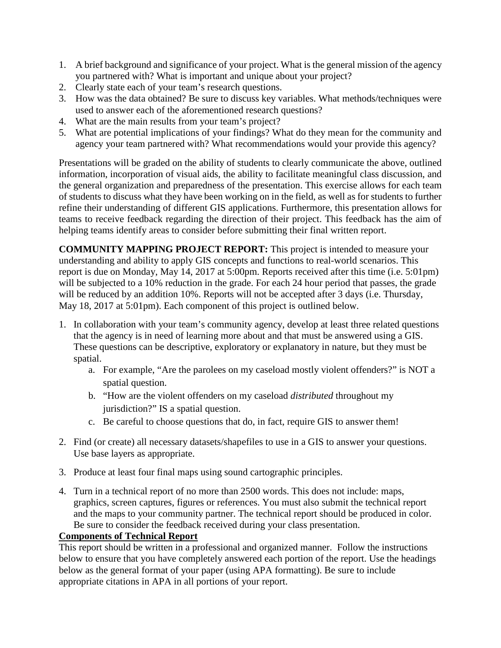- 1. A brief background and significance of your project. What is the general mission of the agency you partnered with? What is important and unique about your project?
- 2. Clearly state each of your team's research questions.
- 3. How was the data obtained? Be sure to discuss key variables. What methods/techniques were used to answer each of the aforementioned research questions?
- 4. What are the main results from your team's project?
- 5. What are potential implications of your findings? What do they mean for the community and agency your team partnered with? What recommendations would your provide this agency?

Presentations will be graded on the ability of students to clearly communicate the above, outlined information, incorporation of visual aids, the ability to facilitate meaningful class discussion, and the general organization and preparedness of the presentation. This exercise allows for each team of students to discuss what they have been working on in the field, as well as for students to further refine their understanding of different GIS applications. Furthermore, this presentation allows for teams to receive feedback regarding the direction of their project. This feedback has the aim of helping teams identify areas to consider before submitting their final written report.

**COMMUNITY MAPPING PROJECT REPORT:** This project is intended to measure your understanding and ability to apply GIS concepts and functions to real-world scenarios. This report is due on Monday, May 14, 2017 at 5:00pm. Reports received after this time (i.e. 5:01pm) will be subjected to a 10% reduction in the grade. For each 24 hour period that passes, the grade will be reduced by an addition 10%. Reports will not be accepted after 3 days (i.e. Thursday, May 18, 2017 at 5:01pm). Each component of this project is outlined below.

- 1. In collaboration with your team's community agency, develop at least three related questions that the agency is in need of learning more about and that must be answered using a GIS. These questions can be descriptive, exploratory or explanatory in nature, but they must be spatial.
	- a. For example, "Are the parolees on my caseload mostly violent offenders?" is NOT a spatial question.
	- b. "How are the violent offenders on my caseload *distributed* throughout my jurisdiction?" IS a spatial question.
	- c. Be careful to choose questions that do, in fact, require GIS to answer them!
- 2. Find (or create) all necessary datasets/shapefiles to use in a GIS to answer your questions. Use base layers as appropriate.
- 3. Produce at least four final maps using sound cartographic principles.
- 4. Turn in a technical report of no more than 2500 words. This does not include: maps, graphics, screen captures, figures or references. You must also submit the technical report and the maps to your community partner. The technical report should be produced in color. Be sure to consider the feedback received during your class presentation.

## **Components of Technical Report**

This report should be written in a professional and organized manner. Follow the instructions below to ensure that you have completely answered each portion of the report. Use the headings below as the general format of your paper (using APA formatting). Be sure to include appropriate citations in APA in all portions of your report.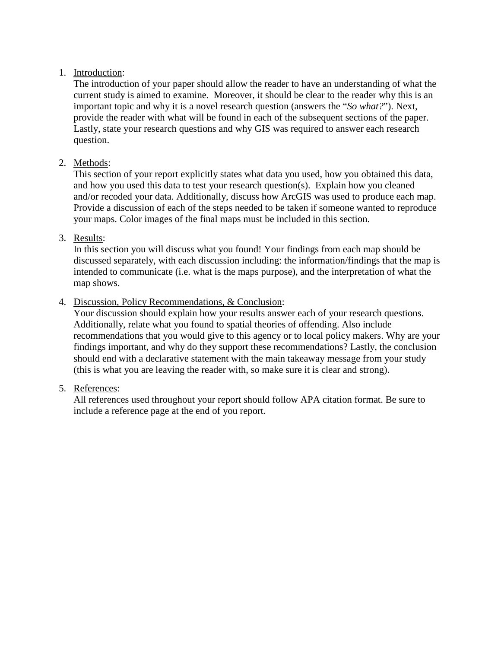## 1. Introduction:

The introduction of your paper should allow the reader to have an understanding of what the current study is aimed to examine. Moreover, it should be clear to the reader why this is an important topic and why it is a novel research question (answers the "*So what?*"). Next, provide the reader with what will be found in each of the subsequent sections of the paper. Lastly, state your research questions and why GIS was required to answer each research question.

## 2. Methods:

This section of your report explicitly states what data you used, how you obtained this data, and how you used this data to test your research question(s). Explain how you cleaned and/or recoded your data. Additionally, discuss how ArcGIS was used to produce each map. Provide a discussion of each of the steps needed to be taken if someone wanted to reproduce your maps. Color images of the final maps must be included in this section.

3. Results:

In this section you will discuss what you found! Your findings from each map should be discussed separately, with each discussion including: the information/findings that the map is intended to communicate (i.e. what is the maps purpose), and the interpretation of what the map shows.

## 4. Discussion, Policy Recommendations, & Conclusion:

Your discussion should explain how your results answer each of your research questions. Additionally, relate what you found to spatial theories of offending. Also include recommendations that you would give to this agency or to local policy makers. Why are your findings important, and why do they support these recommendations? Lastly, the conclusion should end with a declarative statement with the main takeaway message from your study (this is what you are leaving the reader with, so make sure it is clear and strong).

5. References:

All references used throughout your report should follow APA citation format. Be sure to include a reference page at the end of you report.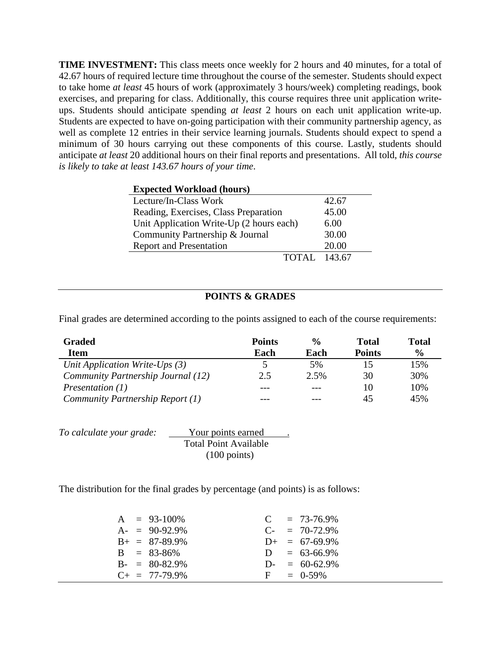**TIME INVESTMENT:** This class meets once weekly for 2 hours and 40 minutes, for a total of 42.67 hours of required lecture time throughout the course of the semester. Students should expect to take home *at least* 45 hours of work (approximately 3 hours/week) completing readings, book exercises, and preparing for class. Additionally, this course requires three unit application writeups. Students should anticipate spending *at least* 2 hours on each unit application write-up. Students are expected to have on-going participation with their community partnership agency, as well as complete 12 entries in their service learning journals. Students should expect to spend a minimum of 30 hours carrying out these components of this course. Lastly, students should anticipate *at least* 20 additional hours on their final reports and presentations. All told, *this course is likely to take at least 143.67 hours of your time*.

| <b>Expected Workload (hours)</b>         |       |
|------------------------------------------|-------|
| Lecture/In-Class Work                    | 42.67 |
| Reading, Exercises, Class Preparation    | 45.00 |
| Unit Application Write-Up (2 hours each) | 6.00  |
| Community Partnership & Journal          | 30.00 |
| <b>Report and Presentation</b>           | 20.00 |
| TOTAL 143.67                             |       |

#### **POINTS & GRADES**

Final grades are determined according to the points assigned to each of the course requirements:

| Graded                             | <b>Points</b> | $\frac{0}{0}$ | <b>Total</b>  | <b>Total</b>  |
|------------------------------------|---------------|---------------|---------------|---------------|
| <b>Item</b>                        | Each          | Each          | <b>Points</b> | $\frac{0}{0}$ |
| Unit Application Write-Ups $(3)$   |               | 5%            |               | 15%           |
| Community Partnership Journal (12) | 2.5           | 2.5%          | 30            | 30%           |
| Presentation $(1)$                 | ---           | $---$         | 10            | 10%           |
| Community Partnership Report (1)   |               |               | 45            | 45%           |

| To calculate your grade: | Your points earned           |  |
|--------------------------|------------------------------|--|
|                          | <b>Total Point Available</b> |  |
|                          | $(100 \text{ points})$       |  |

The distribution for the final grades by percentage (and points) is as follows:

|  | $A = 93-100\%$          |            | $C = 73-76.9\%$    |
|--|-------------------------|------------|--------------------|
|  | $A = 90-92.9\%$         | $C_{\tau}$ | $= 70 - 72.9\%$    |
|  | $B_+ = 87-89.9\%$       |            | $D_{+}$ = 67-69.9% |
|  | $B = 83-86\%$           |            | $D = 63-66.9\%$    |
|  | $B - = 80 - 82.9\%$     |            | $D = 60-62.9%$     |
|  | $C_{\pm} = 77 - 79.9\%$ |            | $F = 0.59\%$       |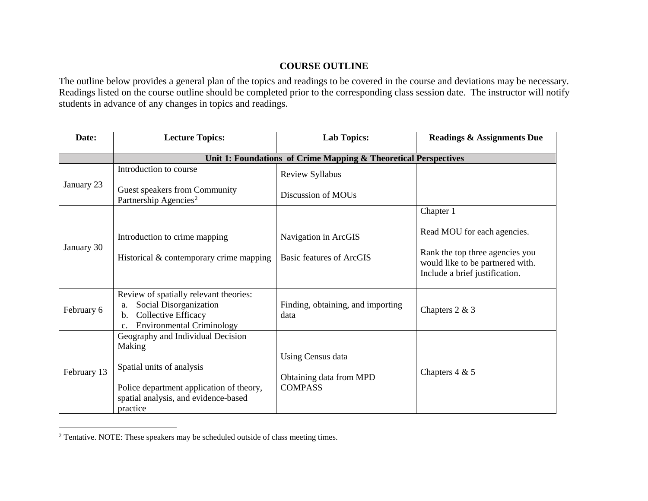## <span id="page-7-0"></span>**COURSE OUTLINE**

The outline below provides a general plan of the topics and readings to be covered in the course and deviations may be necessary. Readings listed on the course outline should be completed prior to the corresponding class session date. The instructor will notify students in advance of any changes in topics and readings.

| Date:       | <b>Lecture Topics:</b>                                                                                                                                                   | <b>Lab Topics:</b>                                             | <b>Readings &amp; Assignments Due</b>                                                                 |  |
|-------------|--------------------------------------------------------------------------------------------------------------------------------------------------------------------------|----------------------------------------------------------------|-------------------------------------------------------------------------------------------------------|--|
|             | Unit 1: Foundations of Crime Mapping & Theoretical Perspectives                                                                                                          |                                                                |                                                                                                       |  |
| January 23  | Introduction to course                                                                                                                                                   | Review Syllabus                                                |                                                                                                       |  |
|             | Guest speakers from Community<br>Partnership Agencies <sup>2</sup>                                                                                                       | Discussion of MOUs                                             |                                                                                                       |  |
|             |                                                                                                                                                                          |                                                                | Chapter 1                                                                                             |  |
| January 30  | Introduction to crime mapping                                                                                                                                            | Navigation in ArcGIS                                           | Read MOU for each agencies.                                                                           |  |
|             | Historical & contemporary crime mapping                                                                                                                                  | Basic features of ArcGIS                                       | Rank the top three agencies you<br>would like to be partnered with.<br>Include a brief justification. |  |
| February 6  | Review of spatially relevant theories:<br>Social Disorganization<br>a.<br>Collective Efficacy<br>$\mathbf{b}$ .<br><b>Environmental Criminology</b><br>$\mathbf{c}$ .    | Finding, obtaining, and importing<br>data                      | Chapters 2 & 3                                                                                        |  |
| February 13 | Geography and Individual Decision<br>Making<br>Spatial units of analysis<br>Police department application of theory,<br>spatial analysis, and evidence-based<br>practice | Using Census data<br>Obtaining data from MPD<br><b>COMPASS</b> | Chapters $4 & 5$                                                                                      |  |

 $2$  Tentative. NOTE: These speakers may be scheduled outside of class meeting times.

 $\overline{a}$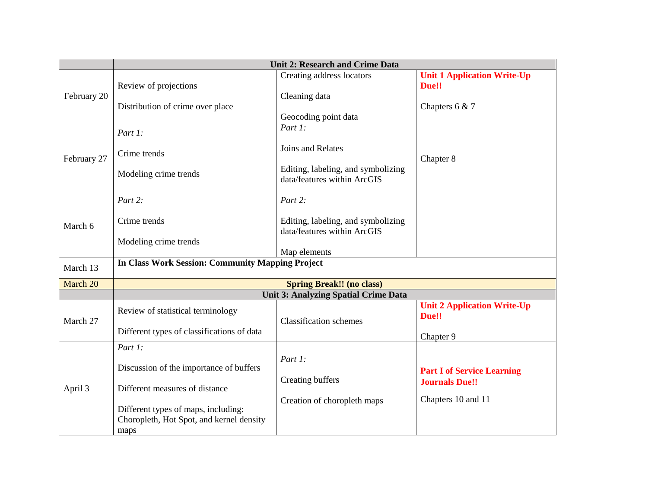|             | <b>Unit 2: Research and Crime Data</b>                                                                                                                                          |                                                                                                   |                                                                                  |  |  |
|-------------|---------------------------------------------------------------------------------------------------------------------------------------------------------------------------------|---------------------------------------------------------------------------------------------------|----------------------------------------------------------------------------------|--|--|
| February 20 | Review of projections<br>Distribution of crime over place                                                                                                                       | Creating address locators<br>Cleaning data<br>Geocoding point data                                | <b>Unit 1 Application Write-Up</b><br>Due!!<br>Chapters $6 & 7$                  |  |  |
| February 27 | Part 1:<br>Crime trends<br>Modeling crime trends                                                                                                                                | Part 1:<br>Joins and Relates<br>Editing, labeling, and symbolizing<br>data/features within ArcGIS | Chapter 8                                                                        |  |  |
| March 6     | Part 2:<br>Crime trends<br>Modeling crime trends                                                                                                                                | Part 2:<br>Editing, labeling, and symbolizing<br>data/features within ArcGIS<br>Map elements      |                                                                                  |  |  |
| March 13    | <b>In Class Work Session: Community Mapping Project</b>                                                                                                                         |                                                                                                   |                                                                                  |  |  |
| March 20    | <b>Spring Break!! (no class)</b>                                                                                                                                                |                                                                                                   |                                                                                  |  |  |
|             | <b>Unit 3: Analyzing Spatial Crime Data</b>                                                                                                                                     |                                                                                                   |                                                                                  |  |  |
| March 27    | Review of statistical terminology<br>Different types of classifications of data                                                                                                 | <b>Classification schemes</b>                                                                     | <b>Unit 2 Application Write-Up</b><br>Due!!<br>Chapter 9                         |  |  |
| April 3     | Part 1:<br>Discussion of the importance of buffers<br>Different measures of distance<br>Different types of maps, including:<br>Choropleth, Hot Spot, and kernel density<br>maps | Part 1:<br>Creating buffers<br>Creation of choropleth maps                                        | <b>Part I of Service Learning</b><br><b>Journals Due!!</b><br>Chapters 10 and 11 |  |  |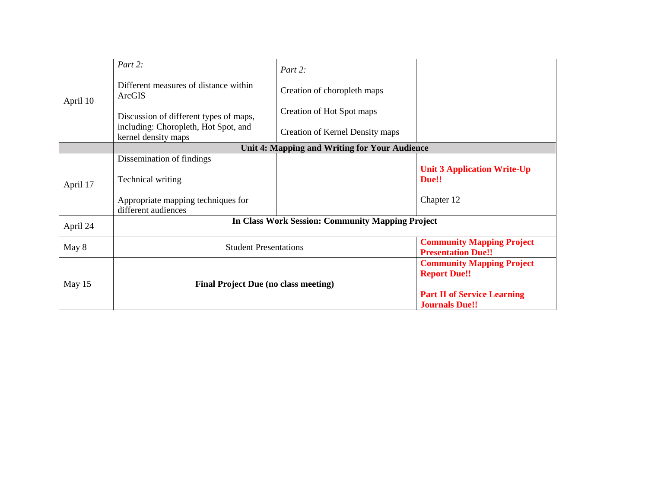| April 10 | Part 2:                                                     | Part 2:                                       |                                                               |
|----------|-------------------------------------------------------------|-----------------------------------------------|---------------------------------------------------------------|
|          | Different measures of distance within<br>ArcGIS             | Creation of choropleth maps                   |                                                               |
|          | Discussion of different types of maps,                      | Creation of Hot Spot maps                     |                                                               |
|          | including: Choropleth, Hot Spot, and<br>kernel density maps | Creation of Kernel Density maps               |                                                               |
|          |                                                             | Unit 4: Mapping and Writing for Your Audience |                                                               |
|          | Dissemination of findings                                   |                                               |                                                               |
| April 17 | Technical writing                                           |                                               | <b>Unit 3 Application Write-Up</b><br>Due!!                   |
|          | Appropriate mapping techniques for<br>different audiences   |                                               | Chapter 12                                                    |
| April 24 | <b>In Class Work Session: Community Mapping Project</b>     |                                               |                                                               |
| May 8    | <b>Student Presentations</b>                                |                                               | <b>Community Mapping Project</b><br><b>Presentation Due!!</b> |
| May 15   | <b>Final Project Due (no class meeting)</b>                 |                                               | <b>Community Mapping Project</b><br><b>Report Due!!</b>       |
|          |                                                             |                                               | <b>Part II of Service Learning</b><br><b>Journals Due!!</b>   |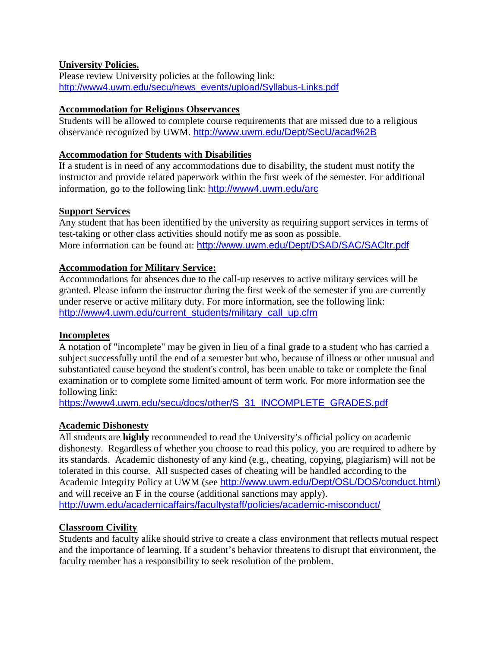## **University Policies.**

Please review University policies at the following link: [http://www4.uwm.edu/secu/news\\_events/upload/Syllabus-Links.pdf](http://www4.uwm.edu/secu/news_events/upload/Syllabus-Links.pdf)

#### **Accommodation for Religious Observances**

Students will be allowed to complete course requirements that are missed due to a religious observance recognized by UWM. <http://www.uwm.edu/Dept/SecU/acad%2B>

#### **Accommodation for Students with Disabilities**

If a student is in need of any accommodations due to disability, the student must notify the instructor and provide related paperwork within the first week of the semester. For additional information, go to the following link: <http://www4.uwm.edu/arc>

#### **Support Services**

Any student that has been identified by the university as requiring support services in terms of test-taking or other class activities should notify me as soon as possible. More information can be found at: <http://www.uwm.edu/Dept/DSAD/SAC/SACltr.pdf>

#### **Accommodation for Military Service:**

Accommodations for absences due to the call-up reserves to active military services will be granted. Please inform the instructor during the first week of the semester if you are currently under reserve or active military duty. For more information, see the following link: [http://www4.uwm.edu/current\\_students/military\\_call\\_up.cfm](http://www4.uwm.edu/current_students/military_call_up.cfm)

#### **Incompletes**

A notation of "incomplete" may be given in lieu of a final grade to a student who has carried a subject successfully until the end of a semester but who, because of illness or other unusual and substantiated cause beyond the student's control, has been unable to take or complete the final examination or to complete some limited amount of term work. For more information see the following link:

[https://www4.uwm.edu/secu/docs/other/S\\_31\\_INCOMPLETE\\_GRADES.pdf](https://www4.uwm.edu/secu/docs/other/S_31_INCOMPLETE_GRADES.pdf)

## **Academic Dishonesty**

All students are **highly** recommended to read the University's official policy on academic dishonesty. Regardless of whether you choose to read this policy, you are required to adhere by its standards. Academic dishonesty of any kind (e.g., cheating, copying, plagiarism) will not be tolerated in this course. All suspected cases of cheating will be handled according to the Academic Integrity Policy at UWM (see <http://www.uwm.edu/Dept/OSL/DOS/conduct.html>) and will receive an **F** in the course (additional sanctions may apply). <http://uwm.edu/academicaffairs/facultystaff/policies/academic-misconduct/>

#### **Classroom Civility**

Students and faculty alike should strive to create a class environment that reflects mutual respect and the importance of learning. If a student's behavior threatens to disrupt that environment, the faculty member has a responsibility to seek resolution of the problem.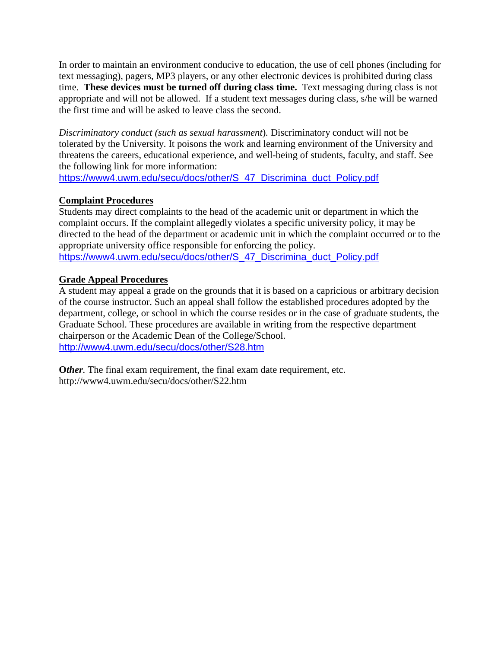In order to maintain an environment conducive to education, the use of cell phones (including for text messaging), pagers, MP3 players, or any other electronic devices is prohibited during class time. **These devices must be turned off during class time.** Text messaging during class is not appropriate and will not be allowed. If a student text messages during class, s/he will be warned the first time and will be asked to leave class the second.

*Discriminatory conduct (such as sexual harassment*)*.* Discriminatory conduct will not be tolerated by the University. It poisons the work and learning environment of the University and threatens the careers, educational experience, and well-being of students, faculty, and staff. See the following link for more information:

[https://www4.uwm.edu/secu/docs/other/S\\_47\\_Discrimina\\_duct\\_Policy.pdf](https://www4.uwm.edu/secu/docs/other/S_47_Discrimina_duct_Policy.pdf)

## **Complaint Procedures**

Students may direct complaints to the head of the academic unit or department in which the complaint occurs. If the complaint allegedly violates a specific university policy, it may be directed to the head of the department or academic unit in which the complaint occurred or to the appropriate university office responsible for enforcing the policy. [https://www4.uwm.edu/secu/docs/other/S\\_47\\_Discrimina\\_duct\\_Policy.pdf](https://www4.uwm.edu/secu/docs/other/S_47_Discrimina_duct_Policy.pdf)

## **Grade Appeal Procedures**

A student may appeal a grade on the grounds that it is based on a capricious or arbitrary decision of the course instructor. Such an appeal shall follow the established procedures adopted by the department, college, or school in which the course resides or in the case of graduate students, the Graduate School. These procedures are available in writing from the respective department chairperson or the Academic Dean of the College/School. <http://www4.uwm.edu/secu/docs/other/S28.htm>

**Other**. The final exam requirement, the final exam date requirement, etc. http://www4.uwm.edu/secu/docs/other/S22.htm